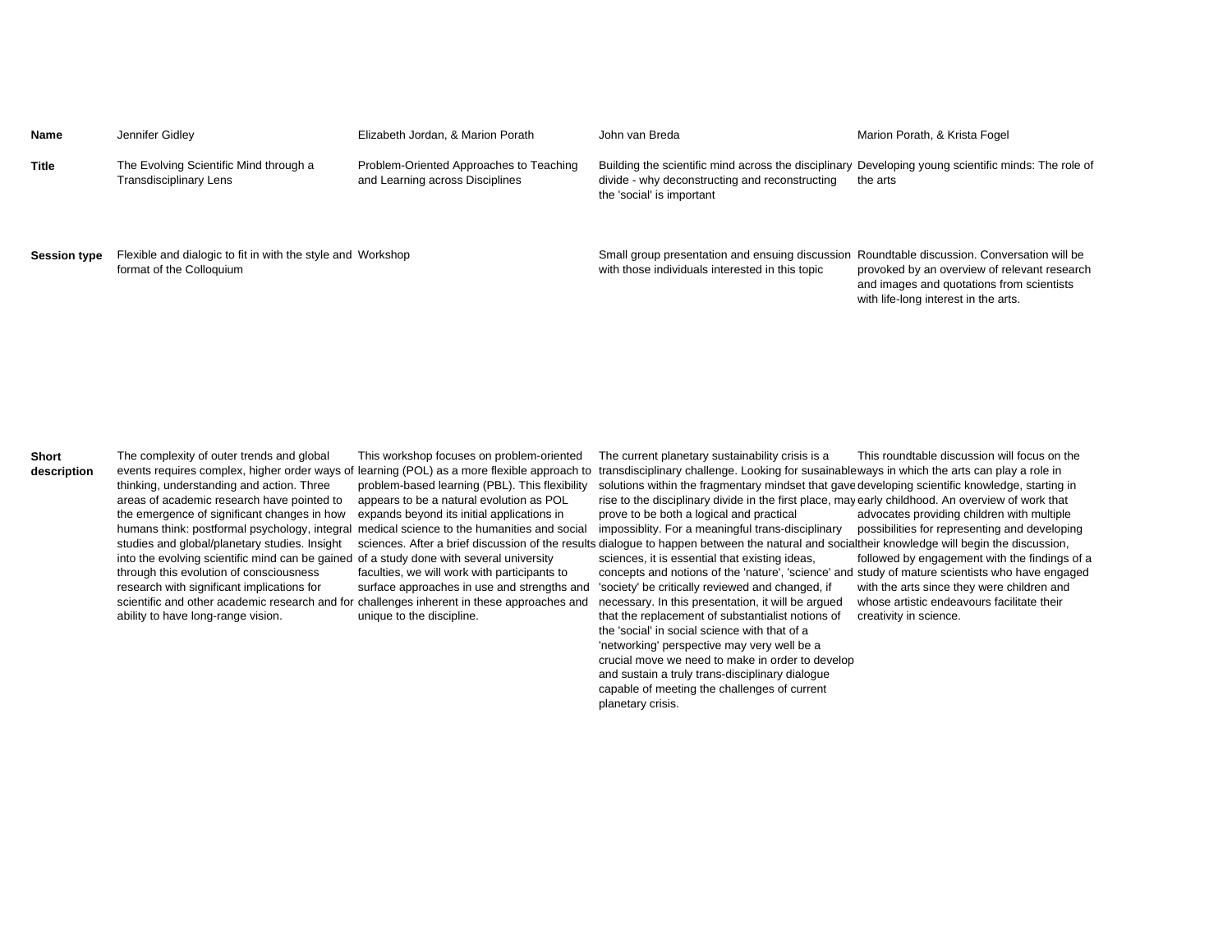| Name                | Jennifer Gidley                                                                         | Elizabeth Jordan, & Marion Porath                                          | John van Breda                                                                                                                                                                     | Marion Porath, & Krista Fogel                                                                                                     |
|---------------------|-----------------------------------------------------------------------------------------|----------------------------------------------------------------------------|------------------------------------------------------------------------------------------------------------------------------------------------------------------------------------|-----------------------------------------------------------------------------------------------------------------------------------|
| <b>Title</b>        | The Evolving Scientific Mind through a<br>Transdisciplinary Lens                        | Problem-Oriented Approaches to Teaching<br>and Learning across Disciplines | Building the scientific mind across the disciplinary Developing young scientific minds: The role of<br>divide - why deconstructing and reconstructing<br>the 'social' is important | the arts                                                                                                                          |
| <b>Session type</b> | Flexible and dialogic to fit in with the style and Workshop<br>format of the Colloquium |                                                                            | Small group presentation and ensuing discussion Roundtable discussion. Conversation will be<br>with those individuals interested in this topic                                     | provoked by an overview of relevant research<br>and images and quotations from scientists<br>with life-long interest in the arts. |

**Short description**

The complexity of outer trends and global thinking, understanding and action. Three areas of academic research have pointed to the emergence of significant changes in how humans think: postformal psychology, integral studies and global/planetary studies. Insight into the evolving scientific mind can be gained of a study done with several university through this evolution of consciousness research with significant implications for scientific and other academic research and for challenges inherent in these approaches and ability to have long-range vision.

This workshop focuses on problem-oriented problem-based learning (PBL). This flexibility appears to be a natural evolution as POL expands beyond its initial applications in medical science to the humanities and social

faculties, we will work with participants to unique to the discipline.

events requires complex, higher order ways of learning (POL) as a more flexible approach to transdisciplinary challenge. Looking for susainableways in which the arts can play a role in The current planetary sustainability crisis is a solutions within the fragmentary mindset that gave developing scientific knowledge, starting in rise to the disciplinary divide in the first place, may early childhood. An overview of work that prove to be both a logical and practical This roundtable discussion will focus on the advocates providing children with multiple

sciences. After a brief discussion of the results dialogue to happen between the natural and socialtheir knowledge will begin the discussion, impossiblity. For a meaningful trans-disciplinary

surface approaches in use and strengths and 'society' be critically reviewed and changed, if sciences, it is essential that existing ideas, concepts and notions of the 'nature', 'science' and study of mature scientists who have engaged necessary. In this presentation, it will be argued that the replacement of substantialist notions of the 'social' in social science with that of a 'networking' perspective may very well be a crucial move we need to make in order to develop and sustain a truly trans-disciplinary dialogue capable of meeting the challenges of current planetary crisis.

possibilities for representing and developing

followed by engagement with the findings of a with the arts since they were children and whose artistic endeavours facilitate their creativity in science.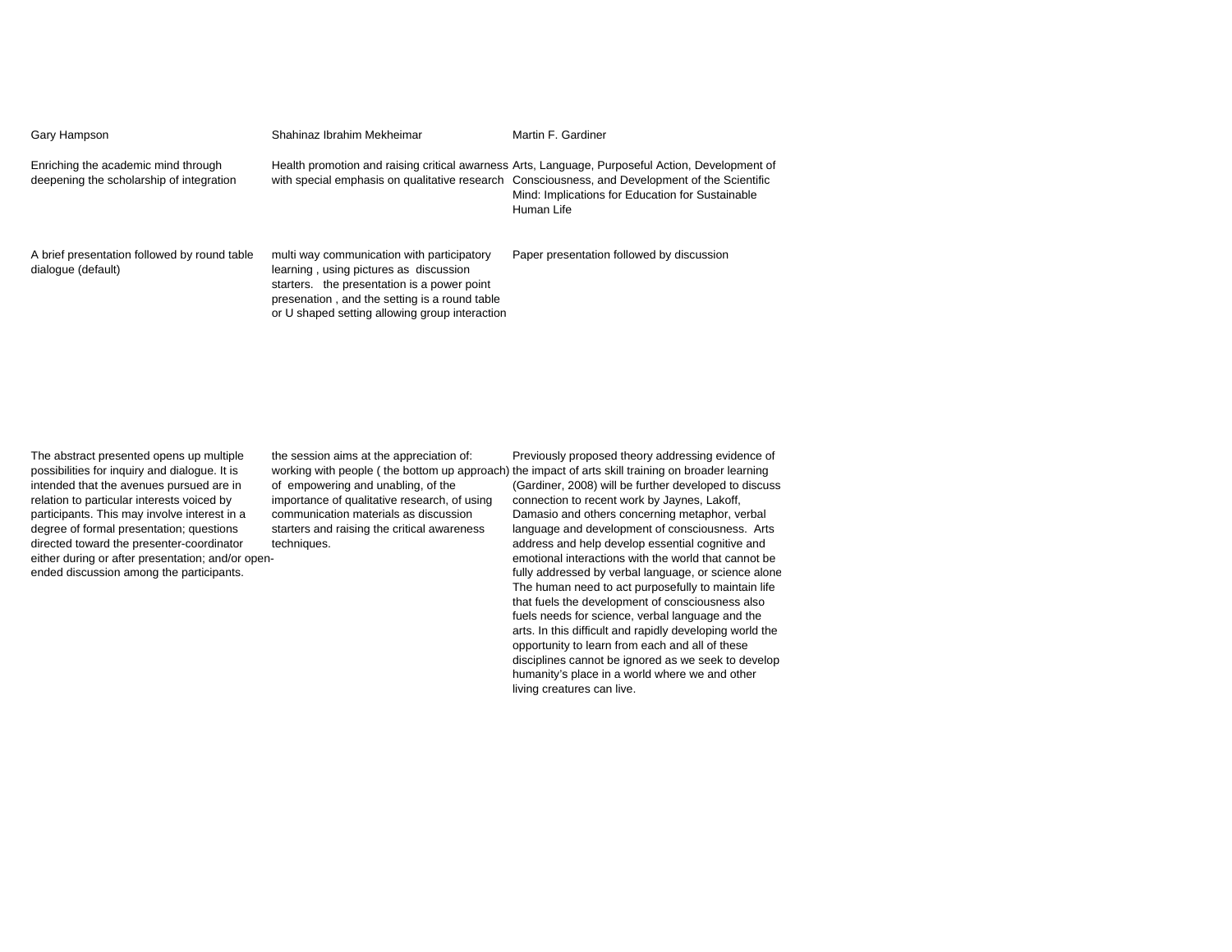| Gary Hampson                                                                    | Shahinaz Ibrahim Mekheimar                                                                                                                                                                                                             | Martin F. Gardiner                                                                                                                                                                                                                                                   |
|---------------------------------------------------------------------------------|----------------------------------------------------------------------------------------------------------------------------------------------------------------------------------------------------------------------------------------|----------------------------------------------------------------------------------------------------------------------------------------------------------------------------------------------------------------------------------------------------------------------|
| Enriching the academic mind through<br>deepening the scholarship of integration |                                                                                                                                                                                                                                        | Health promotion and raising critical awarness Arts, Language, Purposeful Action, Development of<br>with special emphasis on qualitative research Consciousness, and Development of the Scientific<br>Mind: Implications for Education for Sustainable<br>Human Life |
| A brief presentation followed by round table<br>dialogue (default)              | multi way communication with participatory<br>learning, using pictures as discussion<br>starters. the presentation is a power point<br>presenation, and the setting is a round table<br>or U shaped setting allowing group interaction | Paper presentation followed by discussion                                                                                                                                                                                                                            |

The abstract presented opens up multiple possibilities for inquiry and dialogue. It is intended that the avenues pursued are in relation to particular interests voiced by participants. This may involve interest in a degree of formal presentation; questions directed toward the presenter-coordinator either during or after presentation; and/or openended discussion among the participants.

the session aims at the appreciation of: of empowering and unabling, of the importance of qualitative research, of using communication materials as discussion starters and raising the critical awareness techniques.

working with people ( the bottom up approach) the impact of arts skill training on broader learning Previously proposed theory addressing evidence of (Gardiner, 2008) will be further developed to discuss connection to recent work by Jaynes, Lakoff, Damasio and others concerning metaphor, verbal language and development of consciousness. Arts address and help develop essential cognitive and emotional interactions with the world that cannot be fully addressed by verbal language, or science alone The human need to act purposefully to maintain life that fuels the development of consciousness also fuels needs for science, verbal language and the arts. In this difficult and rapidly developing world the opportunity to learn from each and all of these disciplines cannot be ignored as we seek to develop humanity's place in a world where we and other living creatures can live.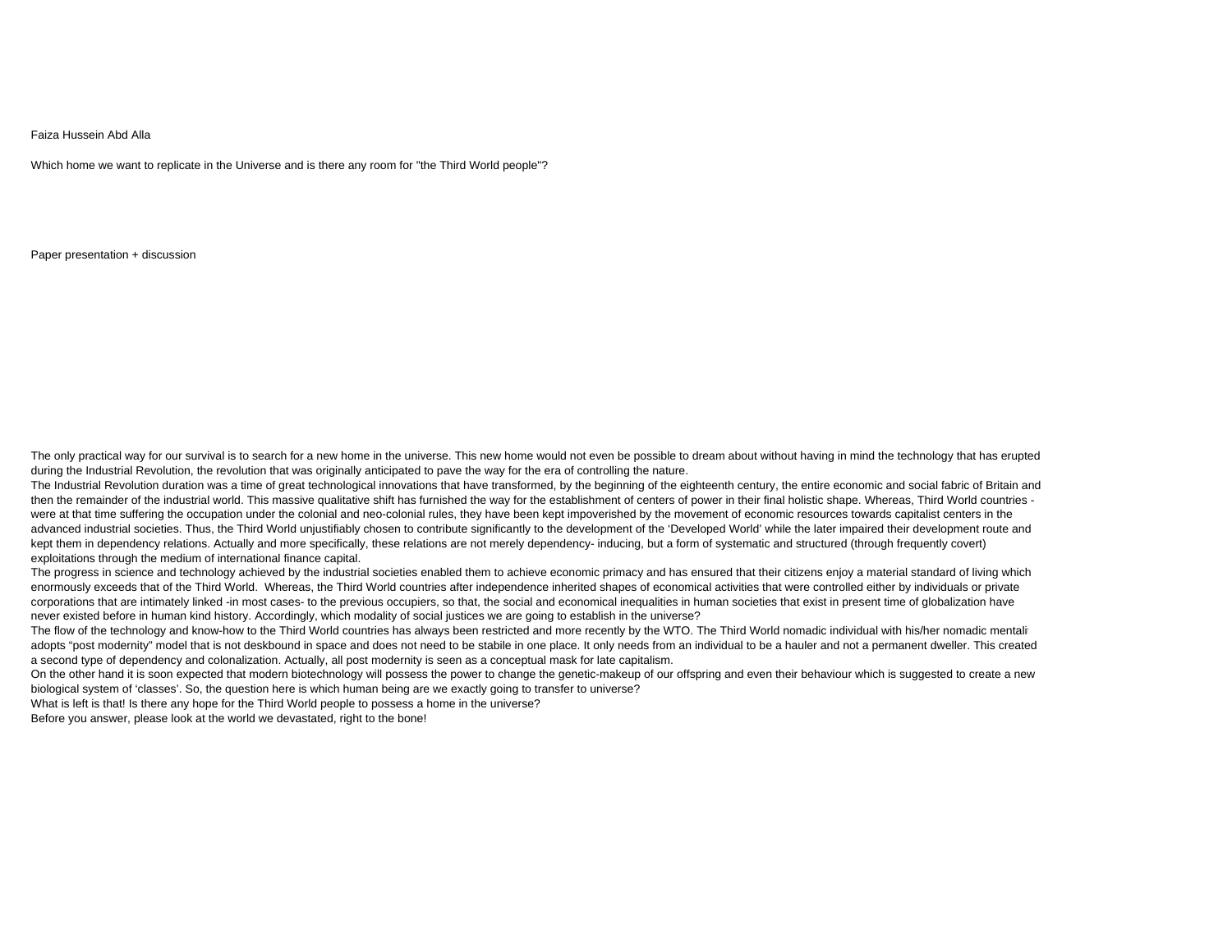## Faiza Hussein Abd Alla

Which home we want to replicate in the Universe and is there any room for "the Third World people"?

Paper presentation + discussion

The only practical way for our survival is to search for a new home in the universe. This new home would not even be possible to dream about without having in mind the technology that has erupted during the Industrial Revolution, the revolution that was originally anticipated to pave the way for the era of controlling the nature.

The Industrial Revolution duration was a time of great technological innovations that have transformed, by the beginning of the eighteenth century, the entire economic and social fabric of Britain and then the remainder of the industrial world. This massive qualitative shift has furnished the way for the establishment of centers of power in their final holistic shape. Whereas, Third World countries were at that time suffering the occupation under the colonial and neo-colonial rules, they have been kept impoverished by the movement of economic resources towards capitalist centers in the advanced industrial societies. Thus, the Third World unjustifiably chosen to contribute significantly to the development of the 'Developed World' while the later impaired their development route and kept them in dependency relations. Actually and more specifically, these relations are not merely dependency- inducing, but a form of systematic and structured (through frequently covert) exploitations through the medium of international finance capital.

The progress in science and technology achieved by the industrial societies enabled them to achieve economic primacy and has ensured that their citizens enjoy a material standard of living which enormously exceeds that of the Third World. Whereas, the Third World countries after independence inherited shapes of economical activities that were controlled either by individuals or private corporations that are intimately linked -in most cases- to the previous occupiers, so that, the social and economical inequalities in human societies that exist in present time of globalization have never existed before in human kind history. Accordingly, which modality of social justices we are going to establish in the universe?

The flow of the technology and know-how to the Third World countries has always been restricted and more recently by the WTO. The Third World nomadic individual with his/her nomadic mentality adopts "post modernity" model that is not deskbound in space and does not need to be stabile in one place. It only needs from an individual to be a hauler and not a permanent dweller. This created a second type of dependency and colonalization. Actually, all post modernity is seen as a conceptual mask for late capitalism.

On the other hand it is soon expected that modern biotechnology will possess the power to change the genetic-makeup of our offspring and even their behaviour which is suggested to create a new biological system of 'classes'. So, the question here is which human being are we exactly going to transfer to universe?

What is left is that! Is there any hope for the Third World people to possess a home in the universe?

Before you answer, please look at the world we devastated, right to the bone!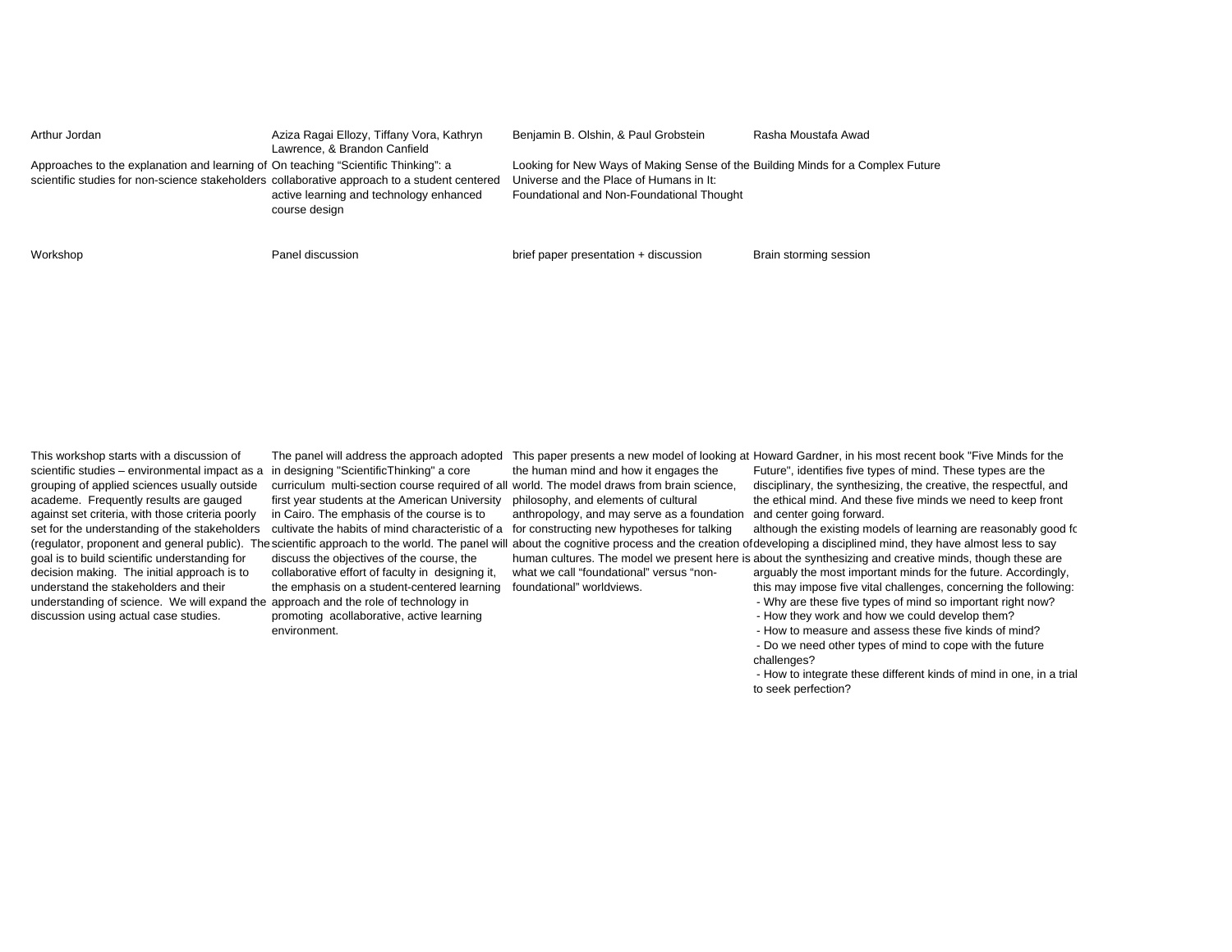| Arthur Jordan                                                                                                                                                                      | Aziza Ragai Ellozy, Tiffany Vora, Kathryn<br>Lawrence, & Brandon Canfield | Benjamin B. Olshin, & Paul Grobstein                                                                                                                                    | Rasha Moustafa Awad    |
|------------------------------------------------------------------------------------------------------------------------------------------------------------------------------------|---------------------------------------------------------------------------|-------------------------------------------------------------------------------------------------------------------------------------------------------------------------|------------------------|
| Approaches to the explanation and learning of On teaching "Scientific Thinking": a<br>scientific studies for non-science stakeholders collaborative approach to a student centered | active learning and technology enhanced<br>course design                  | Looking for New Ways of Making Sense of the Building Minds for a Complex Future<br>Universe and the Place of Humans in It:<br>Foundational and Non-Foundational Thought |                        |
| Workshop                                                                                                                                                                           | Panel discussion                                                          | brief paper presentation + discussion                                                                                                                                   | Brain storming session |

This workshop starts with a discussion of scientific studies – environmental impact as a in designing "ScientificThinking" a core grouping of applied sciences usually outside academe. Frequently results are gauged against set criteria, with those criteria poorly goal is to build scientific understanding for decision making. The initial approach is to understand the stakeholders and their understanding of science. We will expand the approach and the role of technology in discussion using actual case studies.

set for the understanding of the stakeholders cultivate the habits of mind characteristic of a for constructing new hypotheses for talking curriculum multi-section course required of all world. The model draws from brain science, first year students at the American University philosophy, and elements of cultural in Cairo. The emphasis of the course is to

> discuss the objectives of the course, the collaborative effort of faculty in designing it, the emphasis on a student-centered learning foundational" worldviews.

promoting acollaborative, active learning environment.

the human mind and how it engages the anthropology, and may serve as a foundation

what we call "foundational" versus "non-

The panel will address the approach adopted This paper presents a new model of looking at Howard Gardner, in his most recent book "Five Minds for the Future", identifies five types of mind. These types are the disciplinary, the synthesizing, the creative, the respectful, and the ethical mind. And these five minds we need to keep front and center going forward.

(regulator, proponent and general public). The scientific approach to the world. The panel will about the cognitive process and the creation ofdeveloping a disciplined mind, they have almost less to say although the existing models of learning are reasonably good for

human cultures. The model we present here is about the synthesizing and creative minds, though these are arguably the most important minds for the future. Accordingly, this may impose five vital challenges, concerning the following:

- Why are these five types of mind so important right now?

- How they work and how we could develop them?

- How to measure and assess these five kinds of mind?

 - Do we need other types of mind to cope with the future challenges?

 - How to integrate these different kinds of mind in one, in a trial to seek perfection?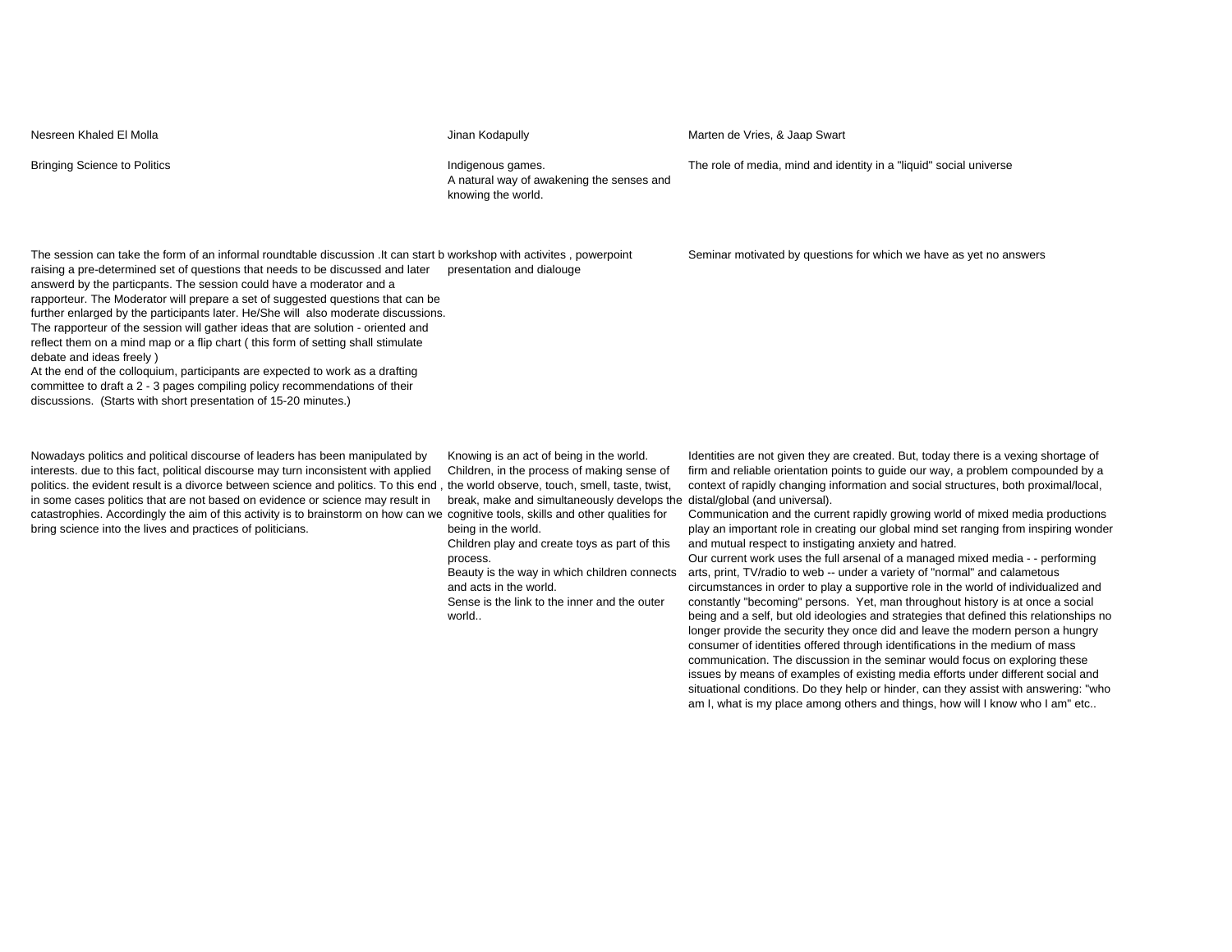Bringing Science to Politics **Indigenous games.** Indigenous games. A natural way of awakening the senses and knowing the world. The role of media, mind and identity in a "liquid" social universe The session can take the form of an informal roundtable discussion .It can start bworkshop with activites , powerpoint raising a pre-determined set of questions that needs to be discussed and later answerd by the particpants. The session could have a moderator and a rapporteur. The Moderator will prepare a set of suggested questions that can be further enlarged by the participants later. He/She will also moderate discussions. The rapporteur of the session will gather ideas that are solution - oriented and reflect them on a mind map or a flip chart ( this form of setting shall stimulate debate and ideas freely ) At the end of the colloquium, participants are expected to work as a drafting committee to draft a 2 - 3 pages compiling policy recommendations of their discussions. (Starts with short presentation of 15-20 minutes.) presentation and dialouge Seminar motivated by questions for which we have as yet no answers

Nowadays politics and political discourse of leaders has been manipulated by interests. due to this fact, political discourse may turn inconsistent with applied politics. the evident result is a divorce between science and politics. To this end , the world observe, touch, smell, taste, twist, in some cases politics that are not based on evidence or science may result in catastrophies. Accordingly the aim of this activity is to brainstorm on how can we cognitive tools, skills and other qualities for bring science into the lives and practices of politicians.

Knowing is an act of being in the world. Children, in the process of making sense of break, make and simultaneously develops the being in the world.

Children play and create toys as part of this process.

Beauty is the way in which children connects and acts in the world.

Sense is the link to the inner and the outer world..

Identities are not given they are created. But, today there is a vexing shortage of firm and reliable orientation points to guide our way, a problem compounded by a context of rapidly changing information and social structures, both proximal/local, distal/global (and universal).

Communication and the current rapidly growing world of mixed media productions play an important role in creating our global mind set ranging from inspiring wonder and mutual respect to instigating anxiety and hatred.

Our current work uses the full arsenal of a managed mixed media - - performing arts, print, TV/radio to web -- under a variety of "normal" and calametous circumstances in order to play a supportive role in the world of individualized and constantly "becoming" persons. Yet, man throughout history is at once a social being and a self, but old ideologies and strategies that defined this relationships no longer provide the security they once did and leave the modern person a hungry consumer of identities offered through identifications in the medium of mass communication. The discussion in the seminar would focus on exploring these issues by means of examples of existing media efforts under different social and situational conditions. Do they help or hinder, can they assist with answering: "who am I, what is my place among others and things, how will I know who I am" etc..

Nesreen Khaled El Molla Jinan Kodapully Jinan Kodapully Marten de Vries, & Jaap Swart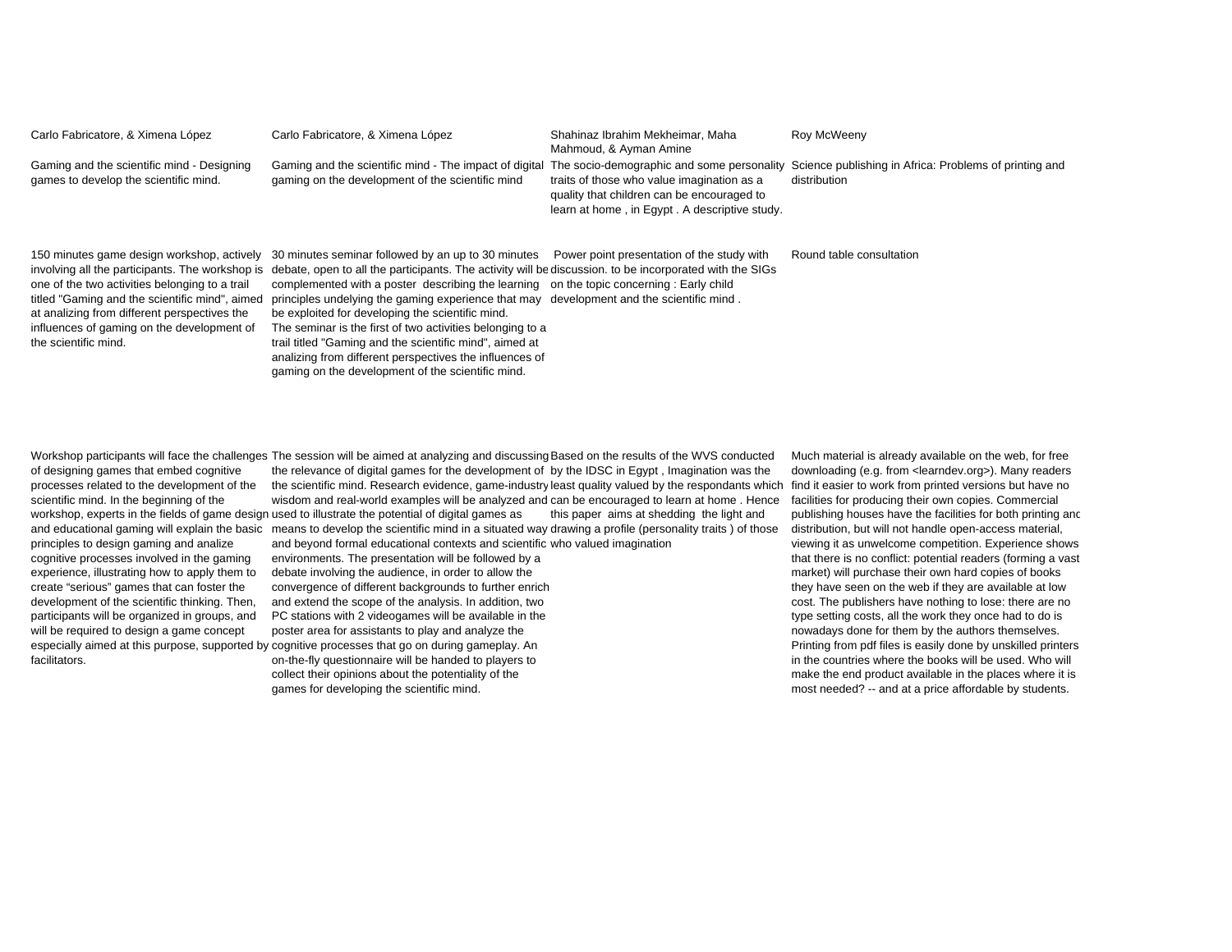| Carlo Fabricatore, & Ximena López                                                                                                                                                                                                                                    | Carlo Fabricatore, & Ximena López                                                                                                                                                                                                                                                                                                                                                                                                                                                                                                                                                                                                                                                                | Shahinaz Ibrahim Mekheimar, Maha<br>Mahmoud, & Ayman Amine                                                                                | Roy McWeeny                                                            |
|----------------------------------------------------------------------------------------------------------------------------------------------------------------------------------------------------------------------------------------------------------------------|--------------------------------------------------------------------------------------------------------------------------------------------------------------------------------------------------------------------------------------------------------------------------------------------------------------------------------------------------------------------------------------------------------------------------------------------------------------------------------------------------------------------------------------------------------------------------------------------------------------------------------------------------------------------------------------------------|-------------------------------------------------------------------------------------------------------------------------------------------|------------------------------------------------------------------------|
| Gaming and the scientific mind - Designing<br>games to develop the scientific mind.                                                                                                                                                                                  | Gaming and the scientific mind - The impact of digital The socio-demographic and some personality<br>gaming on the development of the scientific mind                                                                                                                                                                                                                                                                                                                                                                                                                                                                                                                                            | traits of those who value imagination as a<br>quality that children can be encouraged to<br>learn at home, in Egypt. A descriptive study. | Science publishing in Africa: Problems of printing and<br>distribution |
| 150 minutes game design workshop, actively<br>one of the two activities belonging to a trail<br>titled "Gaming and the scientific mind", aimed<br>at analizing from different perspectives the<br>influences of gaming on the development of<br>the scientific mind. | 30 minutes seminar followed by an up to 30 minutes<br>involving all the participants. The workshop is debate, open to all the participants. The activity will be discussion, to be incorporated with the SIGs<br>complemented with a poster describing the learning on the topic concerning: Early child<br>principles undelying the gaming experience that may development and the scientific mind.<br>be exploited for developing the scientific mind.<br>The seminar is the first of two activities belonging to a<br>trail titled "Gaming and the scientific mind", aimed at<br>analizing from different perspectives the influences of<br>gaming on the development of the scientific mind. | Power point presentation of the study with                                                                                                | Round table consultation                                               |

of designing games that embed cognitive processes related to the development of the scientific mind. In the beginning of the principles to design gaming and analize cognitive processes involved in the gaming experience, illustrating how to apply them to create "serious" games that can foster the development of the scientific thinking. Then, participants will be organized in groups, and will be required to design a game concept facilitators.

Workshop participants will face the challenges The session will be aimed at analyzing and discussing Based on the results of the WVS conducted workshop, experts in the fields of game design used to illustrate the potential of digital games as and educational gaming will explain the basic means to develop the scientific mind in a situated way drawing a profile (personality traits ) of those the relevance of digital games for the development of by the IDSC in Egypt , Imagination was the the scientific mind. Research evidence, game-industry least quality valued by the respondants which find it easier to work from printed versions but have no wisdom and real-world examples will be analyzed and can be encouraged to learn at home . Hence this paper aims at shedding the light and

especially aimed at this purpose, supported by cognitive processes that go on during gameplay. An and beyond formal educational contexts and scientific who valued imagination environments. The presentation will be followed by a debate involving the audience, in order to allow the convergence of different backgrounds to further enrich and extend the scope of the analysis. In addition, two PC stations with 2 videogames will be available in the poster area for assistants to play and analyze the on-the-fly questionnaire will be handed to players to collect their opinions about the potentiality of the games for developing the scientific mind.

Much material is already available on the web, for free downloading (e.g. from <learndev.org>). Many readers facilities for producing their own copies. Commercial publishing houses have the facilities for both printing and distribution, but will not handle open-access material, viewing it as unwelcome competition. Experience shows that there is no conflict: potential readers (forming a vast market) will purchase their own hard copies of books they have seen on the web if they are available at low cost. The publishers have nothing to lose: there are no type setting costs, all the work they once had to do is nowadays done for them by the authors themselves. Printing from pdf files is easily done by unskilled printers in the countries where the books will be used. Who will make the end product available in the places where it is most needed? -- and at a price affordable by students.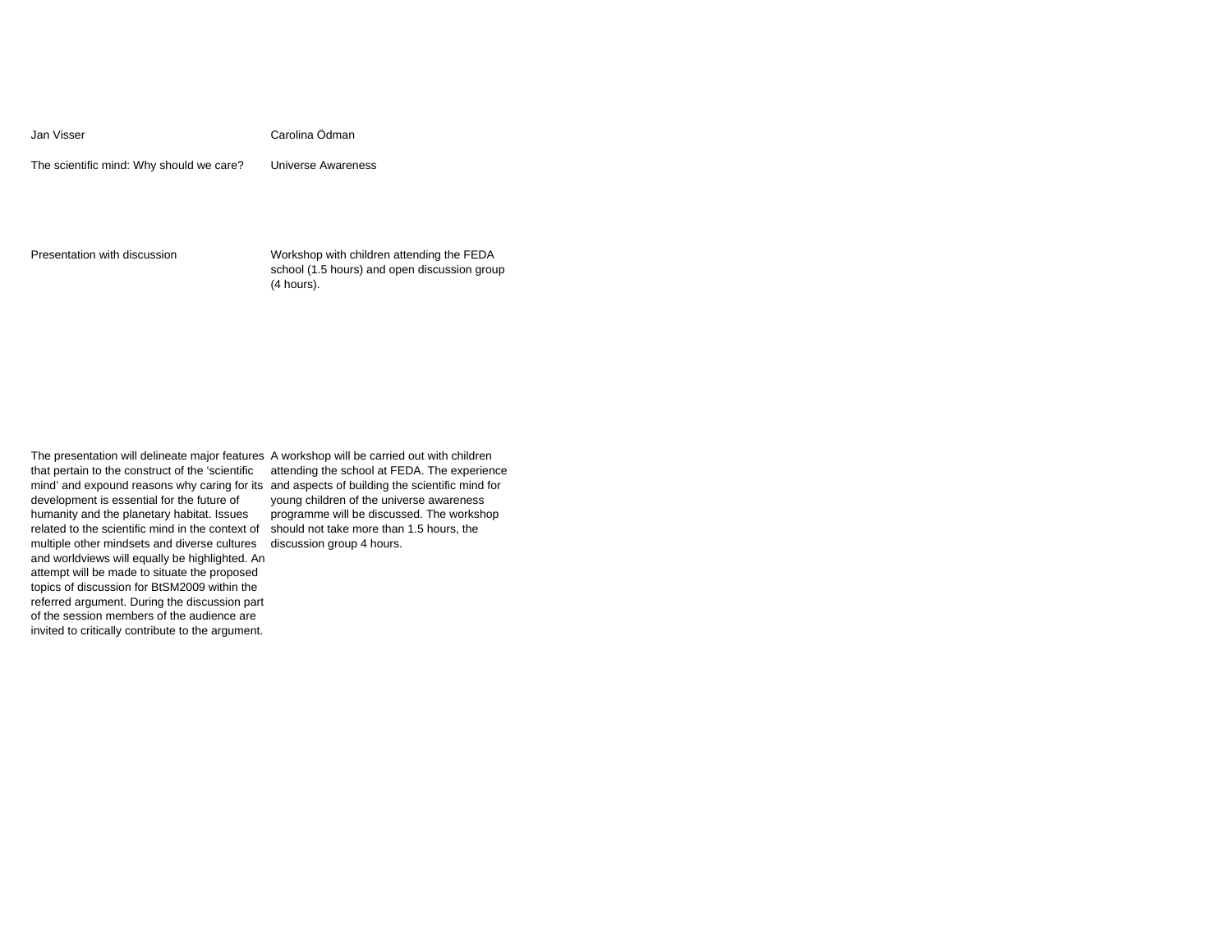Jan Visser Carolina Ödman

The scientific mind: Why should we care? Universe Awareness

Presentation with discussion Workshop with children attending the FEDA school (1.5 hours) and open discussion group (4 hours).

The presentation will delineate major features A workshop will be carried out with children that pertain to the construct of the 'scientific development is essential for the future of humanity and the planetary habitat. Issues related to the scientific mind in the context of multiple other mindsets and diverse cultures discussion group 4 hours.and worldviews will equally be highlighted. An attempt will be made to situate the proposed topics of discussion for BtSM2009 within the referred argument. During the discussion part of the session members of the audience are invited to critically contribute to the argument.

mind' and expound reasons why caring for its and aspects of building the scientific mind for attending the school at FEDA. The experience young children of the universe awareness programme will be discussed. The workshop should not take more than 1.5 hours, the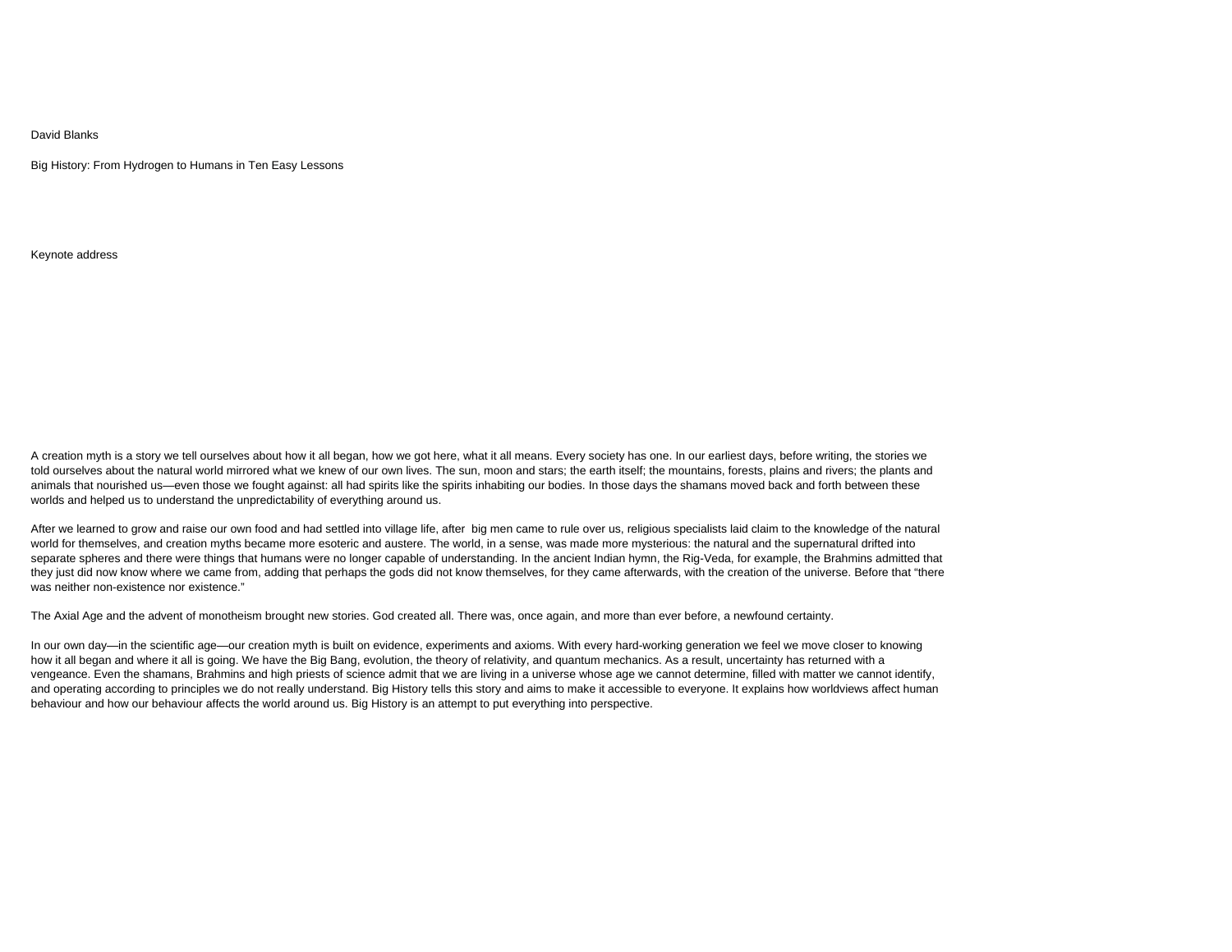## David Blanks

Big History: From Hydrogen to Humans in Ten Easy Lessons

Keynote address

A creation myth is a story we tell ourselves about how it all began, how we got here, what it all means. Every society has one. In our earliest days, before writing, the stories we told ourselves about the natural world mirrored what we knew of our own lives. The sun, moon and stars; the earth itself; the mountains, forests, plains and rivers; the plants and animals that nourished us—even those we fought against: all had spirits like the spirits inhabiting our bodies. In those days the shamans moved back and forth between these worlds and helped us to understand the unpredictability of everything around us.

After we learned to grow and raise our own food and had settled into village life, after big men came to rule over us, religious specialists laid claim to the knowledge of the natural world for themselves, and creation myths became more esoteric and austere. The world, in a sense, was made more mysterious: the natural and the supernatural drifted into separate spheres and there were things that humans were no longer capable of understanding. In the ancient Indian hymn, the Rig-Veda, for example, the Brahmins admitted that they just did now know where we came from, adding that perhaps the gods did not know themselves, for they came afterwards, with the creation of the universe. Before that "there was neither non-existence nor existence."

The Axial Age and the advent of monotheism brought new stories. God created all. There was, once again, and more than ever before, a newfound certainty.

In our own day—in the scientific age—our creation myth is built on evidence, experiments and axioms. With every hard-working generation we feel we move closer to knowing how it all began and where it all is going. We have the Big Bang, evolution, the theory of relativity, and quantum mechanics. As a result, uncertainty has returned with a vengeance. Even the shamans, Brahmins and high priests of science admit that we are living in a universe whose age we cannot determine, filled with matter we cannot identify, and operating according to principles we do not really understand. Big History tells this story and aims to make it accessible to everyone. It explains how worldviews affect human behaviour and how our behaviour affects the world around us. Big History is an attempt to put everything into perspective.